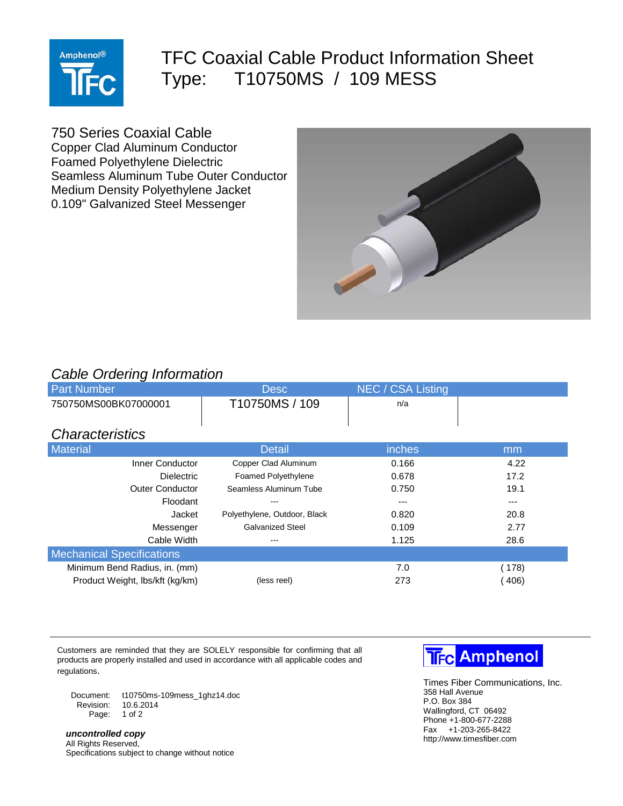

## TFC Coaxial Cable Product Information Sheet Type: T10750MS / 109 MESS

750 Series Coaxial Cable

Copper Clad Aluminum Conductor Foamed Polyethylene Dielectric Seamless Aluminum Tube Outer Conductor Medium Density Polyethylene Jacket 0.109" Galvanized Steel Messenger



## *Cable Ordering Information*

| ັ<br><b>Part Number</b>          | <b>Desc</b>                  | NEC / CSA Listing |       |
|----------------------------------|------------------------------|-------------------|-------|
| 750750MS00BK07000001             | T10750MS / 109               | n/a               |       |
|                                  |                              |                   |       |
| <b>Characteristics</b>           |                              |                   |       |
| <b>Material</b>                  | <b>Detail</b>                | <i>inches</i>     | mm    |
| Inner Conductor                  | Copper Clad Aluminum         | 0.166             | 4.22  |
| <b>Dielectric</b>                | <b>Foamed Polyethylene</b>   | 0.678             | 17.2  |
| <b>Outer Conductor</b>           | Seamless Aluminum Tube       | 0.750             | 19.1  |
| Floodant                         | $- - -$                      |                   | ---   |
| Jacket                           | Polyethylene, Outdoor, Black | 0.820             | 20.8  |
| Messenger                        | <b>Galvanized Steel</b>      | 0.109             | 2.77  |
| Cable Width                      | ---                          | 1.125             | 28.6  |
| <b>Mechanical Specifications</b> |                              |                   |       |
| Minimum Bend Radius, in. (mm)    |                              | 7.0               | (178) |
| Product Weight, lbs/kft (kg/km)  | (less reel)                  | 273               | (406) |

Customers are reminded that they are SOLELY responsible for confirming that all products are properly installed and used in accordance with all applicable codes and regulations.

Document: t10750ms-109mess\_1ghz14.doc Revision: Page: 1 of 2

*uncontrolled copy* All Rights Reserved, Specifications subject to change without notice



Times Fiber Communications, Inc. 358 Hall Avenue P.O. Box 384 Wallingford, CT 06492 Phone +1-800-677-2288 Fax +1-203-265-8422 http://www.timesfiber.com